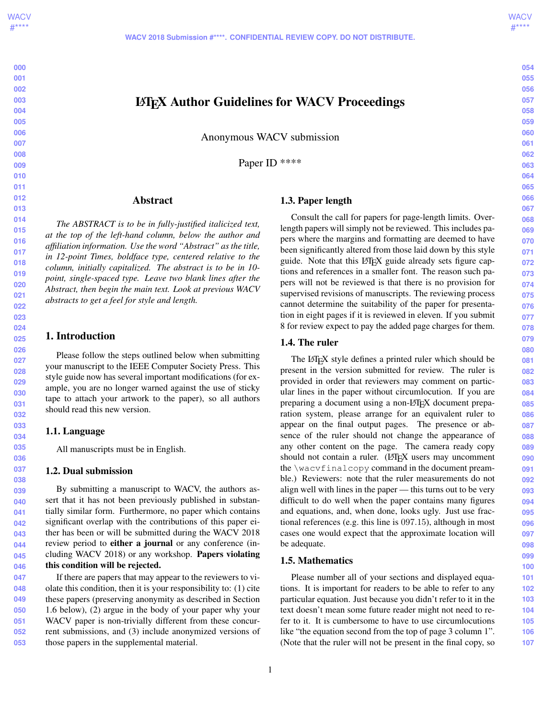# LATEX Author Guidelines for WACV Proceedings

Anonymous WACV submission

Paper ID \*\*\*\*

## Abstract

*The ABSTRACT is to be in fully-justified italicized text, at the top of the left-hand column, below the author and affiliation information. Use the word "Abstract" as the title, in 12-point Times, boldface type, centered relative to the column, initially capitalized. The abstract is to be in 10 point, single-spaced type. Leave two blank lines after the Abstract, then begin the main text. Look at previous WACV abstracts to get a feel for style and length.*

# 1. Introduction

Please follow the steps outlined below when submitting your manuscript to the IEEE Computer Society Press. This style guide now has several important modifications (for example, you are no longer warned against the use of sticky tape to attach your artwork to the paper), so all authors should read this new version.

## 1.1. Language

All manuscripts must be in English.

## 1.2. Dual submission

By submitting a manuscript to WACV, the authors assert that it has not been previously published in substantially similar form. Furthermore, no paper which contains significant overlap with the contributions of this paper either has been or will be submitted during the WACV 2018 review period to either a journal or any conference (including WACV 2018) or any workshop. Papers violating this condition will be rejected.

**049 050 051 052 053** If there are papers that may appear to the reviewers to violate this condition, then it is your responsibility to: (1) cite these papers (preserving anonymity as described in Section 1.6 below), (2) argue in the body of your paper why your WACV paper is non-trivially different from these concurrent submissions, and (3) include anonymized versions of those papers in the supplemental material.

# 1.3. Paper length

Consult the call for papers for page-length limits. Overlength papers will simply not be reviewed. This includes papers where the margins and formatting are deemed to have been significantly altered from those laid down by this style guide. Note that this LAT<sub>EX</sub> guide already sets figure captions and references in a smaller font. The reason such papers will not be reviewed is that there is no provision for supervised revisions of manuscripts. The reviewing process cannot determine the suitability of the paper for presentation in eight pages if it is reviewed in eleven. If you submit 8 for review expect to pay the added page charges for them.

# 1.4. The ruler

The LATEX style defines a printed ruler which should be present in the version submitted for review. The ruler is provided in order that reviewers may comment on particular lines in the paper without circumlocution. If you are preparing a document using a non-LATEX document preparation system, please arrange for an equivalent ruler to appear on the final output pages. The presence or absence of the ruler should not change the appearance of any other content on the page. The camera ready copy should not contain a ruler. (LAT<sub>EX</sub> users may uncomment the \wacvfinalcopy command in the document preamble.) Reviewers: note that the ruler measurements do not align well with lines in the paper — this turns out to be very difficult to do well when the paper contains many figures and equations, and, when done, looks ugly. Just use fractional references (e.g. this line is 097.15), although in most cases one would expect that the approximate location will be adequate.

# 1.5. Mathematics

Please number all of your sections and displayed equations. It is important for readers to be able to refer to any particular equation. Just because you didn't refer to it in the text doesn't mean some future reader might not need to refer to it. It is cumbersome to have to use circumlocutions like "the equation second from the top of page 3 column 1". (Note that the ruler will not be present in the final copy, so **054 055**

**058 059 060**

**056 057**

**061 062 063**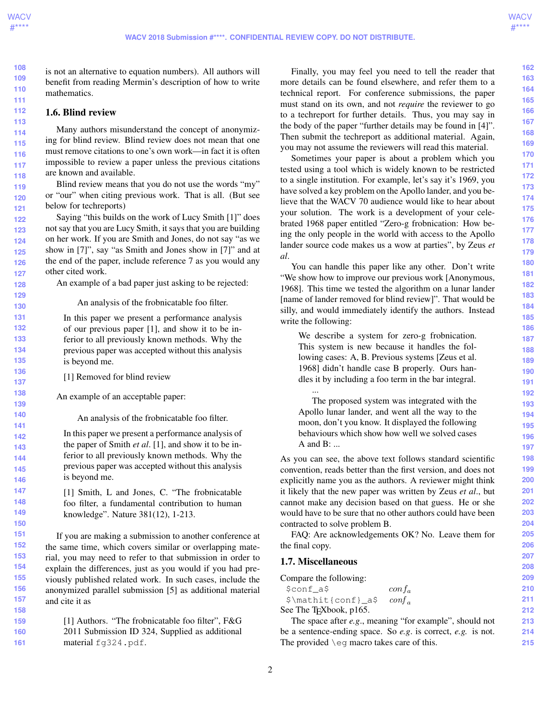**159 160 161**

**214 215**

**108 109 110 111** is not an alternative to equation numbers). All authors will benefit from reading Mermin's description of how to write mathematics.

## 1.6. Blind review

Many authors misunderstand the concept of anonymizing for blind review. Blind review does not mean that one must remove citations to one's own work—in fact it is often impossible to review a paper unless the previous citations are known and available.

Blind review means that you do not use the words "my" or "our" when citing previous work. That is all. (But see below for techreports)

**122 123 124 125 126 127** Saying "this builds on the work of Lucy Smith [1]" does not say that you are Lucy Smith, it says that you are building on her work. If you are Smith and Jones, do not say "as we show in [7]", say "as Smith and Jones show in [7]" and at the end of the paper, include reference 7 as you would any other cited work.

An example of a bad paper just asking to be rejected:

#### An analysis of the frobnicatable foo filter.

In this paper we present a performance analysis of our previous paper [1], and show it to be inferior to all previously known methods. Why the previous paper was accepted without this analysis is beyond me.

- [1] Removed for blind review
- An example of an acceptable paper:

An analysis of the frobnicatable foo filter.

**142 143 144 145 146** In this paper we present a performance analysis of the paper of Smith *et al*. [1], and show it to be inferior to all previously known methods. Why the previous paper was accepted without this analysis is beyond me.

> [1] Smith, L and Jones, C. "The frobnicatable foo filter, a fundamental contribution to human knowledge". Nature 381(12), 1-213.

**151 152 153 154 155 156 157 158** If you are making a submission to another conference at the same time, which covers similar or overlapping material, you may need to refer to that submission in order to explain the differences, just as you would if you had previously published related work. In such cases, include the anonymized parallel submission [5] as additional material and cite it as

[1] Authors. "The frobnicatable foo filter", F&G 2011 Submission ID 324, Supplied as additional material fg324.pdf.

Finally, you may feel you need to tell the reader that more details can be found elsewhere, and refer them to a technical report. For conference submissions, the paper must stand on its own, and not *require* the reviewer to go to a techreport for further details. Thus, you may say in the body of the paper "further details may be found in [4]". Then submit the techreport as additional material. Again, you may not assume the reviewers will read this material.

Sometimes your paper is about a problem which you tested using a tool which is widely known to be restricted to a single institution. For example, let's say it's 1969, you have solved a key problem on the Apollo lander, and you believe that the WACV 70 audience would like to hear about your solution. The work is a development of your celebrated 1968 paper entitled "Zero-g frobnication: How being the only people in the world with access to the Apollo lander source code makes us a wow at parties", by Zeus *et al*.

You can handle this paper like any other. Don't write "We show how to improve our previous work [Anonymous, 1968]. This time we tested the algorithm on a lunar lander [name of lander removed for blind review]". That would be silly, and would immediately identify the authors. Instead write the following:

We describe a system for zero-g frobnication. This system is new because it handles the following cases: A, B. Previous systems [Zeus et al. 1968] didn't handle case B properly. Ours handles it by including a foo term in the bar integral. ...

The proposed system was integrated with the Apollo lunar lander, and went all the way to the moon, don't you know. It displayed the following behaviours which show how well we solved cases A and B: ...

As you can see, the above text follows standard scientific convention, reads better than the first version, and does not explicitly name you as the authors. A reviewer might think it likely that the new paper was written by Zeus *et al*., but cannot make any decision based on that guess. He or she would have to be sure that no other authors could have been contracted to solve problem B.

FAQ: Are acknowledgements OK? No. Leave them for the final copy.

#### 1.7. Miscellaneous

| Compare the following:              |                                                         | 209 |
|-------------------------------------|---------------------------------------------------------|-----|
| \$conf a\$                          | $\cot f_a$                                              | 210 |
| \$\mathit{conf}_a\$                 | $\text{conf}_{\alpha}$                                  | 211 |
| See The T <sub>E</sub> Xbook, p165. |                                                         | 212 |
|                                     | The space after e.g., meaning "for example", should not |     |

The space after *e.g*., meaning "for example", should not be a sentence-ending space. So *e.g*. is correct, *e.g.* is not. The provided \eg macro takes care of this.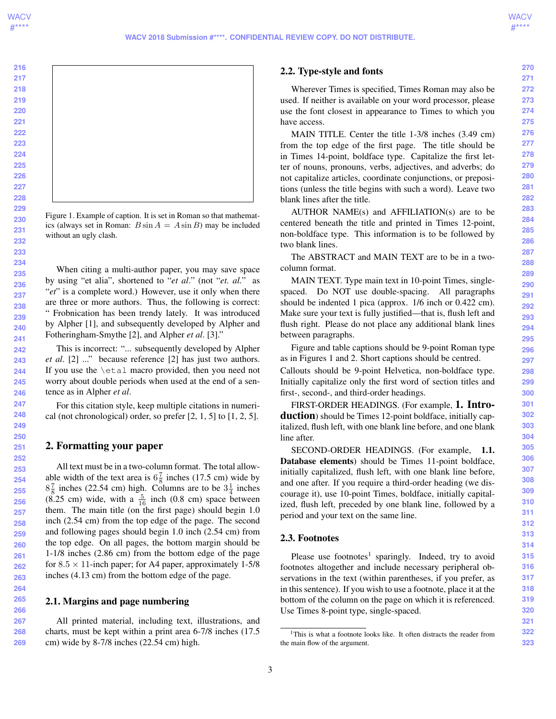**216 217 218 219 220 221 222 223 224 225 226 227 228 229 230 231 232 233 234 235 236 237** Figure 1. Example of caption. It is set in Roman so that mathematics (always set in Roman:  $B \sin A = A \sin B$ ) may be included without an ugly clash. When citing a multi-author paper, you may save space by using "et alia", shortened to "*et al*." (not "*et. al.*" as "*et*" is a complete word.) However, use it only when there

are three or more authors. Thus, the following is correct: " Frobnication has been trendy lately. It was introduced by Alpher [1], and subsequently developed by Alpher and Fotheringham-Smythe [2], and Alpher *et al*. [3]."

This is incorrect: "... subsequently developed by Alpher *et al*. [2] ..." because reference [2] has just two authors. If you use the \etal macro provided, then you need not worry about double periods when used at the end of a sentence as in Alpher *et al*.

For this citation style, keep multiple citations in numerical (not chronological) order, so prefer  $[2, 1, 5]$  to  $[1, 2, 5]$ .

# 2. Formatting your paper

All text must be in a two-column format. The total allowable width of the text area is  $6\frac{7}{8}$  inches (17.5 cm) wide by  $8\frac{7}{8}$  inches (22.54 cm) high. Columns are to be  $3\frac{1}{4}$  inches  $(8.25 \text{ cm})$  wide, with a  $\frac{5}{16}$  inch  $(0.8 \text{ cm})$  space between them. The main title (on the first page) should begin 1.0 inch (2.54 cm) from the top edge of the page. The second and following pages should begin 1.0 inch (2.54 cm) from the top edge. On all pages, the bottom margin should be 1-1/8 inches (2.86 cm) from the bottom edge of the page for  $8.5 \times 11$ -inch paper; for A4 paper, approximately 1-5/8 inches (4.13 cm) from the bottom edge of the page.

#### 2.1. Margins and page numbering

**267 268 269** All printed material, including text, illustrations, and charts, must be kept within a print area 6-7/8 inches (17.5 cm) wide by 8-7/8 inches (22.54 cm) high.

#### 2.2. Type-style and fonts

Wherever Times is specified, Times Roman may also be used. If neither is available on your word processor, please use the font closest in appearance to Times to which you have access.

MAIN TITLE. Center the title 1-3/8 inches (3.49 cm) from the top edge of the first page. The title should be in Times 14-point, boldface type. Capitalize the first letter of nouns, pronouns, verbs, adjectives, and adverbs; do not capitalize articles, coordinate conjunctions, or prepositions (unless the title begins with such a word). Leave two blank lines after the title.

AUTHOR NAME(s) and AFFILIATION(s) are to be centered beneath the title and printed in Times 12-point, non-boldface type. This information is to be followed by two blank lines.

The ABSTRACT and MAIN TEXT are to be in a twocolumn format.

MAIN TEXT. Type main text in 10-point Times, singlespaced. Do NOT use double-spacing. All paragraphs should be indented 1 pica (approx. 1/6 inch or 0.422 cm). Make sure your text is fully justified—that is, flush left and flush right. Please do not place any additional blank lines between paragraphs.

Figure and table captions should be 9-point Roman type as in Figures 1 and 2. Short captions should be centred.

Callouts should be 9-point Helvetica, non-boldface type. Initially capitalize only the first word of section titles and first-, second-, and third-order headings.

FIRST-ORDER HEADINGS. (For example, 1. Introduction) should be Times 12-point boldface, initially capitalized, flush left, with one blank line before, and one blank line after.

SECOND-ORDER HEADINGS. (For example, 1.1. Database elements) should be Times 11-point boldface, initially capitalized, flush left, with one blank line before, and one after. If you require a third-order heading (we discourage it), use 10-point Times, boldface, initially capitalized, flush left, preceded by one blank line, followed by a period and your text on the same line.

#### 2.3. Footnotes

Please use footnotes<sup>1</sup> sparingly. Indeed, try to avoid footnotes altogether and include necessary peripheral observations in the text (within parentheses, if you prefer, as in this sentence). If you wish to use a footnote, place it at the bottom of the column on the page on which it is referenced. Use Times 8-point type, single-spaced.



<sup>&</sup>lt;sup>1</sup>This is what a footnote looks like. It often distracts the reader from the main flow of the argument.